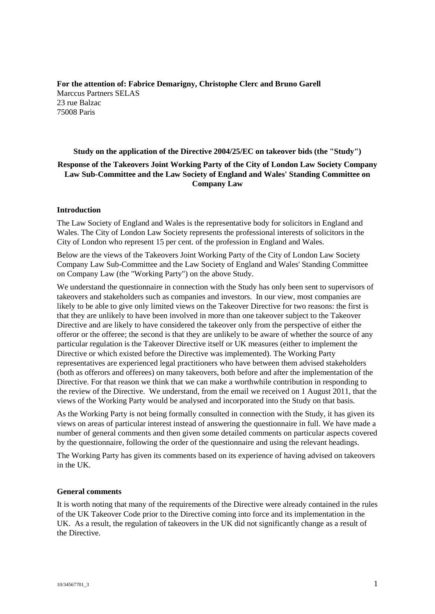**For the attention of: Fabrice Demarigny, Christophe Clerc and Bruno Garell** Marccus Partners SELAS 23 rue Balzac 75008 Paris

### **Study on the application of the Directive 2004/25/EC on takeover bids (the "Study")**

# **Response of the Takeovers Joint Working Party of the City of London Law Society Company Law Sub-Committee and the Law Society of England and Wales' Standing Committee on Company Law**

### **Introduction**

The Law Society of England and Wales is the representative body for solicitors in England and Wales. The City of London Law Society represents the professional interests of solicitors in the City of London who represent 15 per cent. of the profession in England and Wales.

Below are the views of the Takeovers Joint Working Party of the City of London Law Society Company Law Sub-Committee and the Law Society of England and Wales' Standing Committee on Company Law (the "Working Party") on the above Study.

We understand the questionnaire in connection with the Study has only been sent to supervisors of takeovers and stakeholders such as companies and investors. In our view, most companies are likely to be able to give only limited views on the Takeover Directive for two reasons: the first is that they are unlikely to have been involved in more than one takeover subject to the Takeover Directive and are likely to have considered the takeover only from the perspective of either the offeror or the offeree; the second is that they are unlikely to be aware of whether the source of any particular regulation is the Takeover Directive itself or UK measures (either to implement the Directive or which existed before the Directive was implemented). The Working Party representatives are experienced legal practitioners who have between them advised stakeholders (both as offerors and offerees) on many takeovers, both before and after the implementation of the Directive. For that reason we think that we can make a worthwhile contribution in responding to the review of the Directive. We understand, from the email we received on 1 August 2011, that the views of the Working Party would be analysed and incorporated into the Study on that basis.

As the Working Party is not being formally consulted in connection with the Study, it has given its views on areas of particular interest instead of answering the questionnaire in full. We have made a number of general comments and then given some detailed comments on particular aspects covered by the questionnaire, following the order of the questionnaire and using the relevant headings.

The Working Party has given its comments based on its experience of having advised on takeovers in the UK.

### **General comments**

It is worth noting that many of the requirements of the Directive were already contained in the rules of the UK Takeover Code prior to the Directive coming into force and its implementation in the UK. As a result, the regulation of takeovers in the UK did not significantly change as a result of the Directive.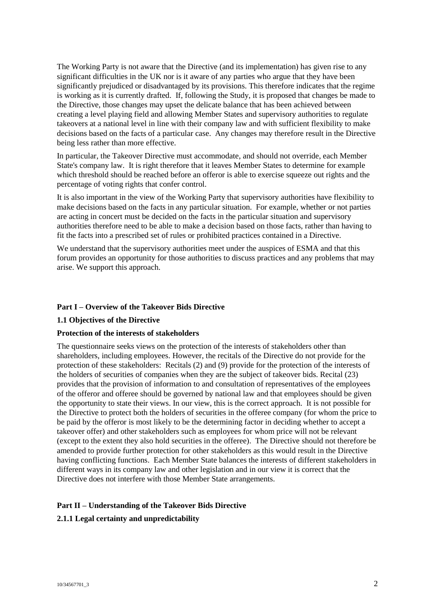The Working Party is not aware that the Directive (and its implementation) has given rise to any significant difficulties in the UK nor is it aware of any parties who argue that they have been significantly prejudiced or disadvantaged by its provisions. This therefore indicates that the regime is working as it is currently drafted. If, following the Study, it is proposed that changes be made to the Directive, those changes may upset the delicate balance that has been achieved between creating a level playing field and allowing Member States and supervisory authorities to regulate takeovers at a national level in line with their company law and with sufficient flexibility to make decisions based on the facts of a particular case. Any changes may therefore result in the Directive being less rather than more effective.

In particular, the Takeover Directive must accommodate, and should not override, each Member State's company law. It is right therefore that it leaves Member States to determine for example which threshold should be reached before an offeror is able to exercise squeeze out rights and the percentage of voting rights that confer control.

It is also important in the view of the Working Party that supervisory authorities have flexibility to make decisions based on the facts in any particular situation. For example, whether or not parties are acting in concert must be decided on the facts in the particular situation and supervisory authorities therefore need to be able to make a decision based on those facts, rather than having to fit the facts into a prescribed set of rules or prohibited practices contained in a Directive.

We understand that the supervisory authorities meet under the auspices of ESMA and that this forum provides an opportunity for those authorities to discuss practices and any problems that may arise. We support this approach.

### **Part I – Overview of the Takeover Bids Directive**

### **1.1 Objectives of the Directive**

### **Protection of the interests of stakeholders**

The questionnaire seeks views on the protection of the interests of stakeholders other than shareholders, including employees. However, the recitals of the Directive do not provide for the protection of these stakeholders: Recitals (2) and (9) provide for the protection of the interests of the holders of securities of companies when they are the subject of takeover bids. Recital (23) provides that the provision of information to and consultation of representatives of the employees of the offeror and offeree should be governed by national law and that employees should be given the opportunity to state their views. In our view, this is the correct approach. It is not possible for the Directive to protect both the holders of securities in the offeree company (for whom the price to be paid by the offeror is most likely to be the determining factor in deciding whether to accept a takeover offer) and other stakeholders such as employees for whom price will not be relevant (except to the extent they also hold securities in the offeree). The Directive should not therefore be amended to provide further protection for other stakeholders as this would result in the Directive having conflicting functions. Each Member State balances the interests of different stakeholders in different ways in its company law and other legislation and in our view it is correct that the Directive does not interfere with those Member State arrangements.

## **Part II – Understanding of the Takeover Bids Directive**

# **2.1.1 Legal certainty and unpredictability**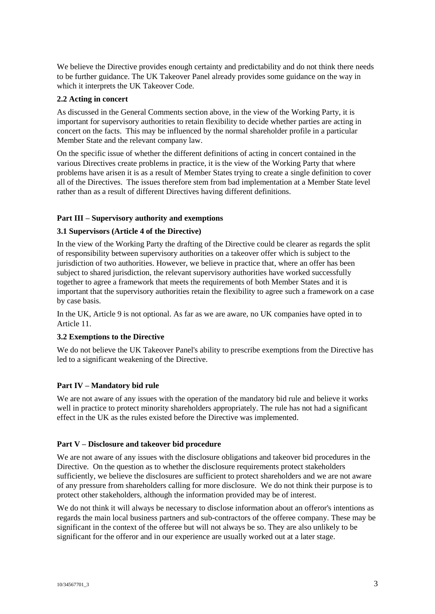We believe the Directive provides enough certainty and predictability and do not think there needs to be further guidance. The UK Takeover Panel already provides some guidance on the way in which it interprets the UK Takeover Code.

## **2.2 Acting in concert**

As discussed in the General Comments section above, in the view of the Working Party, it is important for supervisory authorities to retain flexibility to decide whether parties are acting in concert on the facts. This may be influenced by the normal shareholder profile in a particular Member State and the relevant company law.

On the specific issue of whether the different definitions of acting in concert contained in the various Directives create problems in practice, it is the view of the Working Party that where problems have arisen it is as a result of Member States trying to create a single definition to cover all of the Directives. The issues therefore stem from bad implementation at a Member State level rather than as a result of different Directives having different definitions.

# **Part III – Supervisory authority and exemptions**

# **3.1 Supervisors (Article 4 of the Directive)**

In the view of the Working Party the drafting of the Directive could be clearer as regards the split of responsibility between supervisory authorities on a takeover offer which is subject to the jurisdiction of two authorities. However, we believe in practice that, where an offer has been subject to shared jurisdiction, the relevant supervisory authorities have worked successfully together to agree a framework that meets the requirements of both Member States and it is important that the supervisory authorities retain the flexibility to agree such a framework on a case by case basis.

In the UK, Article 9 is not optional. As far as we are aware, no UK companies have opted in to Article 11.

## **3.2 Exemptions to the Directive**

We do not believe the UK Takeover Panel's ability to prescribe exemptions from the Directive has led to a significant weakening of the Directive.

## **Part IV – Mandatory bid rule**

We are not aware of any issues with the operation of the mandatory bid rule and believe it works well in practice to protect minority shareholders appropriately. The rule has not had a significant effect in the UK as the rules existed before the Directive was implemented.

## **Part V – Disclosure and takeover bid procedure**

We are not aware of any issues with the disclosure obligations and takeover bid procedures in the Directive. On the question as to whether the disclosure requirements protect stakeholders sufficiently, we believe the disclosures are sufficient to protect shareholders and we are not aware of any pressure from shareholders calling for more disclosure. We do not think their purpose is to protect other stakeholders, although the information provided may be of interest.

We do not think it will always be necessary to disclose information about an offeror's intentions as regards the main local business partners and sub-contractors of the offeree company. These may be significant in the context of the offeree but will not always be so. They are also unlikely to be significant for the offeror and in our experience are usually worked out at a later stage.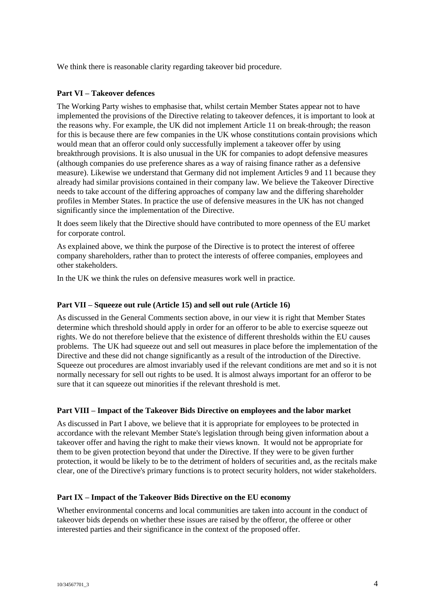We think there is reasonable clarity regarding takeover bid procedure.

## **Part VI – Takeover defences**

The Working Party wishes to emphasise that, whilst certain Member States appear not to have implemented the provisions of the Directive relating to takeover defences, it is important to look at the reasons why. For example, the UK did not implement Article 11 on break-through; the reason for this is because there are few companies in the UK whose constitutions contain provisions which would mean that an offeror could only successfully implement a takeover offer by using breakthrough provisions. It is also unusual in the UK for companies to adopt defensive measures (although companies do use preference shares as a way of raising finance rather as a defensive measure). Likewise we understand that Germany did not implement Articles 9 and 11 because they already had similar provisions contained in their company law. We believe the Takeover Directive needs to take account of the differing approaches of company law and the differing shareholder profiles in Member States. In practice the use of defensive measures in the UK has not changed significantly since the implementation of the Directive.

It does seem likely that the Directive should have contributed to more openness of the EU market for corporate control.

As explained above, we think the purpose of the Directive is to protect the interest of offeree company shareholders, rather than to protect the interests of offeree companies, employees and other stakeholders.

In the UK we think the rules on defensive measures work well in practice.

### **Part VII – Squeeze out rule (Article 15) and sell out rule (Article 16)**

As discussed in the General Comments section above, in our view it is right that Member States determine which threshold should apply in order for an offeror to be able to exercise squeeze out rights. We do not therefore believe that the existence of different thresholds within the EU causes problems. The UK had squeeze out and sell out measures in place before the implementation of the Directive and these did not change significantly as a result of the introduction of the Directive. Squeeze out procedures are almost invariably used if the relevant conditions are met and so it is not normally necessary for sell out rights to be used. It is almost always important for an offeror to be sure that it can squeeze out minorities if the relevant threshold is met.

### **Part VIII – Impact of the Takeover Bids Directive on employees and the labor market**

As discussed in Part I above, we believe that it is appropriate for employees to be protected in accordance with the relevant Member State's legislation through being given information about a takeover offer and having the right to make their views known. It would not be appropriate for them to be given protection beyond that under the Directive. If they were to be given further protection, it would be likely to be to the detriment of holders of securities and, as the recitals make clear, one of the Directive's primary functions is to protect security holders, not wider stakeholders.

### **Part IX – Impact of the Takeover Bids Directive on the EU economy**

Whether environmental concerns and local communities are taken into account in the conduct of takeover bids depends on whether these issues are raised by the offeror, the offeree or other interested parties and their significance in the context of the proposed offer.